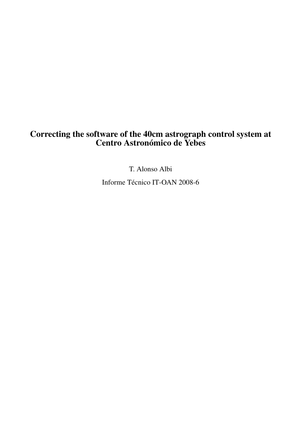# Correcting the software of the 40cm astrograph control system at Centro Astronómico de Yebes

T. Alonso Albi

Informe Técnico IT-OAN 2008-6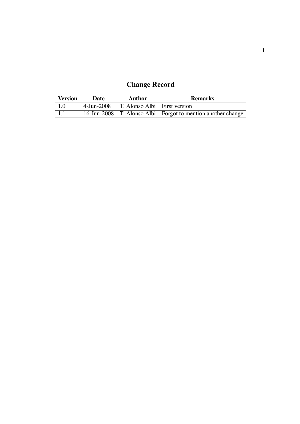# Change Record

| <b>Version</b> | Date       | Author                       | <b>Remarks</b>                                              |
|----------------|------------|------------------------------|-------------------------------------------------------------|
| 1.0            | 4-Jun-2008 | T. Alonso Albi First version |                                                             |
| $-1.1$         |            |                              | 16-Jun-2008 T. Alonso Albi Forgot to mention another change |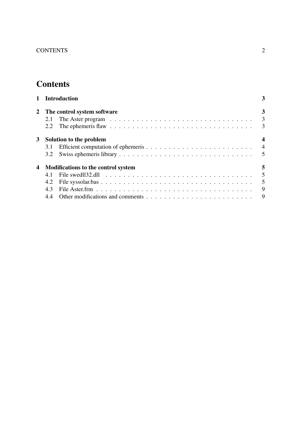# **Contents**

|   |                                     | 1 Introduction                                                                                   | 3                       |  |  |  |
|---|-------------------------------------|--------------------------------------------------------------------------------------------------|-------------------------|--|--|--|
|   |                                     | 2 The control system software                                                                    | 3                       |  |  |  |
|   | 2.1                                 |                                                                                                  | $\overline{\mathbf{3}}$ |  |  |  |
|   | 2.2                                 |                                                                                                  |                         |  |  |  |
| 3 | Solution to the problem             |                                                                                                  |                         |  |  |  |
|   | 3.1                                 |                                                                                                  |                         |  |  |  |
|   | 3.2                                 |                                                                                                  |                         |  |  |  |
| 4 | Modifications to the control system |                                                                                                  |                         |  |  |  |
|   | 4.1                                 | File swed!!32.dll $\ldots \ldots \ldots \ldots \ldots \ldots \ldots \ldots \ldots \ldots \ldots$ | $5\overline{)}$         |  |  |  |
|   | 4.2                                 |                                                                                                  | $5\phantom{0}$          |  |  |  |
|   | 4.3                                 |                                                                                                  | $\overline{9}$          |  |  |  |
|   | 4.4                                 |                                                                                                  |                         |  |  |  |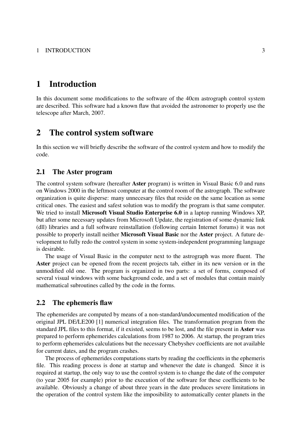# 1 Introduction

In this document some modifications to the software of the 40cm astrograph control system are described. This software had a known flaw that avoided the astronomer to properly use the telescope after March, 2007.

# 2 The control system software

In this section we will briefly describe the software of the control system and how to modify the code.

## 2.1 The Aster program

The control system software (hereafter **Aster** program) is written in Visual Basic 6.0 and runs on Windows 2000 in the leftmost computer at the control room of the astrograph. The software organization is quite disperse: many unnecesary files that reside on the same location as some critical ones. The easiest and safest solution was to modify the program is that same computer. We tried to install **Microsoft Visual Studio Enterprise 6.0** in a laptop running Windows XP, but after some necessary updates from Microsoft Update, the registration of some dynamic link (dll) libraries and a full software reinstallation (following certain Internet forums) it was not possible to properly install neither Microsoft Visual Basic nor the Aster project. A future development to fully redo the control system in some system-independent programming language is desirable.

The usage of Visual Basic in the computer next to the astrograph was more fluent. The Aster project can be opened from the recent projects tab, either in its new version or in the unmodified old one. The program is organized in two parts: a set of forms, composed of several visual windows with some background code, and a set of modules that contain mainly mathematical subroutines called by the code in the forms.

## 2.2 The ephemeris flaw

The ephemerides are computed by means of a non-standard/undocumented modification of the original JPL DE/LE200 [1] numerical integration files. The transformation program from the standard JPL files to this format, if it existed, seems to be lost, and the file present in Aster was prepared to perform ephemerides calculations from 1987 to 2006. At startup, the program tries to perform ephemerides calculations but the necessary Chebyshev coefficients are not available for current dates, and the program crashes.

The process of ephemerides computations starts by reading the coefficients in the ephemeris file. This reading process is done at startup and whenever the date is changed. Since it is required at startup, the only way to use the control system is to change the date of the computer (to year 2005 for example) prior to the execution of the software for these coefficients to be available. Obviously a change of about three years in the date produces severe limitations in the operation of the control system like the imposibility to automatically center planets in the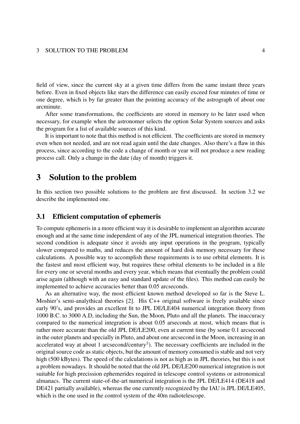#### 3 SOLUTION TO THE PROBLEM 4

field of view, since the current sky at a given time differs from the same instant three years before. Even in fixed objects like stars the difference can easily exceed four minutes of time or one degree, which is by far greater than the pointing accuracy of the astrograph of about one arcminute.

After some transformations, the coefficients are stored in memory to be later used when necessary, for example when the astronomer selects the option Solar System sources and asks the program for a list of available sources of this kind.

It is important to note that this method is not efficient. The coefficients are stored in memory even when not needed, and are not read again until the date changes. Also there's a flaw in this process, since according to the code a change of month or year will not produce a new reading process call. Only a change in the date (day of month) triggers it.

# 3 Solution to the problem

In this section two possible solutions to the problem are first discussed. In section 3.2 we describe the implemented one.

## 3.1 Efficient computation of ephemeris

To compute ephemeris in a more efficient way it is desirable to implement an algorithm accurate enough and at the same time independent of any of the JPL numerical integration theories. The second condition is adequate since it avoids any input operations in the program, typically slower compared to maths, and reduces the amount of hard disk memory necessary for these calculations. A possible way to accomplish these requirements is to use orbital elements. It is the fastest and most efficient way, but requires these orbital elements to be included in a file for every one or several months and every year, which means that eventually the problem could arise again (although with an easy and standard update of the files). This method can easily be implemented to achieve accuracies better than 0.05 arcseconds.

As an alternative way, the most efficient known method developed so far is the Steve L. Moshier's semi-analythical theories [2]. His C++ original software is freely available since early 90's, and provides an excellent fit to JPL DE/LE404 numerical integration theory from 1000 B.C. to 3000 A.D, including the Sun, the Moon, Pluto and all the planets. The inaccuracy compared to the numerical integration is about 0.05 arseconds at most, which means that is rather more accurate than the old JPL DE/LE200, even at current time (by some 0.1 arcsecond in the outer planets and specially in Pluto, and about one arcsecond in the Moon, increasing in an accelerated way at about 1 arcsecond/century<sup>2</sup>). The necessary coefficients are included in the original source code as static objects, but the amount of memory consumed is stable and not very high (500 kBytes). The speed of the calculations is not as high as in JPL theories, but this is not a problem nowadays. It should be noted that the old JPL DE/LE200 numerical integration is not suitable for high precission ephemerides required in telescope control systems or astronomical almanacs. The current state-of-the-art numerical integration is the JPL DE/LE414 (DE418 and DE421 partially available), whereas the one currently recognized by the IAU is JPL DE/LE405, which is the one used in the control system of the 40m radiotelescope.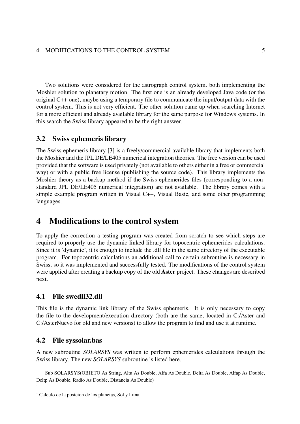Two solutions were considered for the astrograph control system, both implementing the Moshier solution to planetary motion. The first one is an already developed Java code (or the original C++ one), maybe using a temporary file to communicate the input/output data with the control system. This is not very efficient. The other solution came up when searching Internet for a more efficient and already available library for the same purpose for Windows systems. In this search the Swiss library appeared to be the right answer.

## 3.2 Swiss ephemeris library

The Swiss ephemeris library [3] is a freely/commercial available library that implements both the Moshier and the JPL DE/LE405 numerical integration theories. The free version can be used provided that the software is used privately (not available to others either in a free or commercial way) or with a public free license (publishing the source code). This library implements the Moshier theory as a backup method if the Swiss ephemerides files (corresponding to a nonstandard JPL DE/LE405 numerical integration) are not available. The library comes with a simple example program written in Visual C++, Visual Basic, and some other programming languages.

# 4 Modifications to the control system

To apply the correction a testing program was created from scratch to see which steps are required to properly use the dynamic linked library for topocentric ephemerides calculations. Since it is 'dynamic', it is enough to include the .dll file in the same directory of the executable program. For topocentric calculations an additional call to certain subroutine is necessary in Swiss, so it was implemented and successfully tested. The modifications of the control system were applied after creating a backup copy of the old Aster project. These changes are described next.

# 4.1 File swedll32.dll

This file is the dynamic link library of the Swiss ephemeris. It is only necessary to copy the file to the development/execution directory (both are the same, located in C:/Aster and C:/AsterNuevo for old and new versions) to allow the program to find and use it at runtime.

## 4.2 File syssolar.bas

'

A new subroutine *SOLARSYS* was written to perform ephemerides calculations through the Swiss library. The new *SOLARSYS* subroutine is listed here.

Sub SOLARSYS(OBJETO As String, Altu As Double, Alfa As Double, Delta As Double, Alfap As Double, Deltp As Double, Radio As Double, Distancia As Double)

<sup>&#</sup>x27; Calculo de la posicion de los planetas, Sol y Luna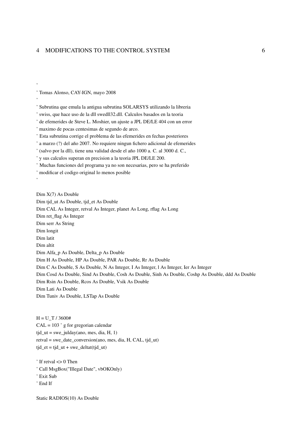' Tomas Alonso, CAY-IGN, mayo 2008

' Subrutina que emula la antigua subrutina SOLARSYS utilizando la libreria

- ' swiss, que hace uso de la dll swedll32, dll. Calculos basados en la teoria
- ' de efemerides de Steve L. Moshier, un ajuste a JPL DE/LE 404 con un error

' maximo de pocas centesimas de segundo de arco.

'Esta subrutina corrige el problema de las efemerides en fechas posteriores

' a marzo (?) del año 2007. No requiere ningun fichero adicional de efemerides

' (salvo por la dll), tiene una validad desde el año 1000 a. C. al 3000 d. C.,

' y sus calculos superan en precision a la teoria JPL DE/LE 200.

'Muchas funciones del programa ya no son necesarias, pero se ha preferido

' modificar el codigo original lo menos posible

Dim  $X(7)$  As Double

Dim tid ut As Double, tid et As Double Dim CAL As Integer, retval As Integer, planet As Long, rflag As Long Dim ret\_flag As Integer Dim serr As String Dim longit Dim latit Dim altit Dim Alfa p As Double, Delta p As Double Dim H As Double, HP As Double, PAR As Double, Rr As Double Dim C As Double, S As Double, N As Integer, I As Integer, 1 As Integer, Ier As Integer Dim Cosd As Double, Sind As Double, Cosh As Double, Sinh As Double, Coshp As Double, ddd As Double Dim Rsin As Double, Rcos As Double, Vsik As Double Dim Lati As Double Dim Tuniv As Double, LSTap As Double

 $H = U T / 3600#$  $CAL = 103$  ' g for gregorian calendar  $tid_{ut}$  = swe\_julday(ano, mes, dia, H, 1) retval = swe date conversion(ano, mes, dia, H, CAL, tjd ut)  $tid_{et} = tjd_{ut} + swe_{delta(tjd_{ut})}$ 

 $\dot{\ }$  If retval  $\dot{\ }$  O Then

- ' Call MsgBox("Illegal Date", vbOKOnly)
- ' Exit Sub
- $\cdot$  End If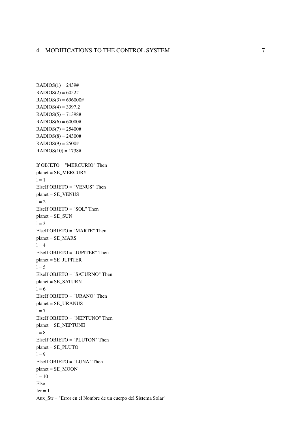```
RADIOS(1) = 2439#RADIOS(2) = 6052#RADIOS(3) = 696000#RADIOS(4) = 3397.2RADIOS(5) = 71398#RADIOS(6) = 60000#RADIOS(7) = 25400#RADIOS(8) = 24300#RADIOS(9) = 2500#RADIOS(10) = 1738#If OBJETO = "MERCURIO" Then
planet = SE_MERCURY1 = 1ElseIf OBJETO = "VENUS" Then
planet = SE_VENUS1 = 2ElseIf OBJETO = "SOL" Then
planet = SE_SUN1 = 3ElseIf OBJETO = "MARTE" Then
planet = SE\_MARS1 = 4ElseIf OBJETO = "JUPITER" Then
planet = SE_JUPITER
1 = 5ElseIf OBJETO = "SATURNO" Then
planet = SE_SATURN
1 = 6ElseIf OBJETO = "URANO" Then
planet = SE \tURANUS1 = 7ElseIf OBJETO = "NEPTUNO" Then
planet = SE<sub>NEPTUNE</sub>
1 = 8ElseIf OBJETO = "PLUTON" Then
planet = SE<sub>PLUTO</sub>
1 = 9ElseIf OBJETO = "LUNA" Then
planet = SE_MOON1 = 10Else
Ier = 1Aux_Str = "Error en el Nombre de un cuerpo del Sistema Solar"
```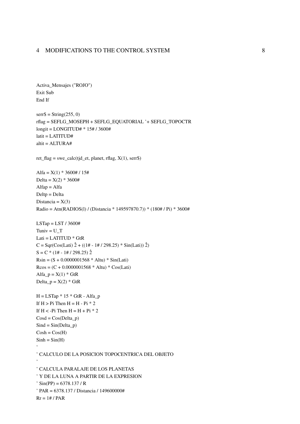```
Activa_Mensajes ("ROJO")
Exit Sub
End If
serr\ = String(255, 0)
rflag = SEFLG_MOSEPH + SEFLG_EQUATORIAL '+ SEFLG_TOPOCTR
longit = LONGITUD# * 15# / 3600#
latit = LATITUD#
altit = \angleALTURA#
ret_flag = swe_calc(tjd_et, planet, rflag, X(1), serr$)
Alfa = X(1) * 3600# / 15#Delta = X(2) * 3600#Alfap = AlfaDelta = DeltaDistancia = X(3)Radio = Atn(RADIOS(1) / (Distancia * 149597870.7)) * (180# / Pi) * 3600#
LSTap = LST / 3600#Tuniv = U T
Lati = LATITUD * GtR
C = Sqr(Cos(Lati) \hat{2} + ((1 + -1) / 298.25) * Sin(Lati) \hat{2})S = C * (1# - 1# / 298.25) 2
R\sin = (S + 0.0000001568 * Altu) * Sin(Lati)R\cos = (C + 0.0000001568 * Altu) * Cos(Lati)Alfa_p = X(1) * GtRDelta_p = X(2) * GtR
H = LSTap * 15 * GtR - Alfa_pIf H > Pi Then H = H - Pi * 2If H < -Pi Then H = H + Pi * 2\text{Cosd} = \text{Cos}(\text{Delta}_p)Sind = Sin(Delta_p)Cosh = Cos(H)Sinh = Sin(H)' CALCULO DE LA POSICION TOPOCENTRICA DEL OBJETO
' CALCULA PARALAJE DE LOS PLANETAS
' Y DE LA LUNA A PARTIR DE LA EXPRESION
\frac{\text{S}}{\text{S}} Sin(PP) = 6378.137 / R
' PAR = 6378.137 / Distancia / 149600000#
```
 $Rr = 1# / PAR$ 

8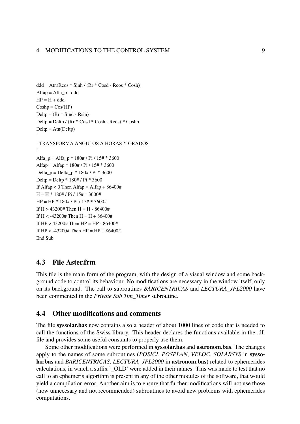```
ddd = Atn(Rcos * Sinh / (Rr * Cosd - Rcos * Cosh))Alfap = Alfa p - ddd
HP = H + dddCoshp = Cos(HP)Delta = (Rr * Sind - Rsin)Delta = Detp / (Rr * Cosd * Cosh - Rcos) * CoshpDelta = Atn(Deltp)'
' TRANSFORMA ANGULOS A HORAS Y GRADOS
'
Alfa p = Alfa p * 180# / Pi / 15# * 3600Alfap = Alfap * 180# / Pi / 15# * 3600
Delta_p = Delta_p * 180# / Pi * 3600
Deltp = Deltp * 180# / Pi * 3600
If Alfap < 0 Then Alfap = Alfap + 86400#
H = H * 180# / Pi / 15# * 3600#HP = HP * 180# / Pi / 15# * 3600#If H > 43200# Then H = H - 86400#
If H < -43200# Then H = H + 86400#
If HP > 43200# Then HP = HP - 86400#If HP < -43200# Then HP = HP + 86400#End Sub
```
## 4.3 File Aster.frm

This file is the main form of the program, with the design of a visual window and some background code to control its behaviour. No modifications are necessary in the window itself, only on its background. The call to subroutines *BARICENTRICAS* and *LECTURA\_JPL2000* have been commented in the *Private Sub Tim\_Timer* subroutine.

## 4.4 Other modifications and comments

The file syssolar.bas now contains also a header of about 1000 lines of code that is needed to call the functions of the Swiss library. This header declares the functions available in the .dll file and provides some useful constants to properly use them.

Some other modifications were performed in syssolar.bas and astronom.bas. The changes apply to the names of some subroutines (*POSICI*, *POSPLAN*, *VELOC*, *SOLARSYS* in syssolar.bas and *BARICENTRICAS*, *LECTURA\_JPL2000* in astronom.bas) related to ephemerides calculations, in which a suffix '\_OLD' were added in their names. This was made to test that no call to an ephemeris algorithm is present in any of the other modules of the software, that would yield a compilation error. Another aim is to ensure that further modifications will not use those (now unnecesary and not recommended) subroutines to avoid new problems with ephemerides computations.